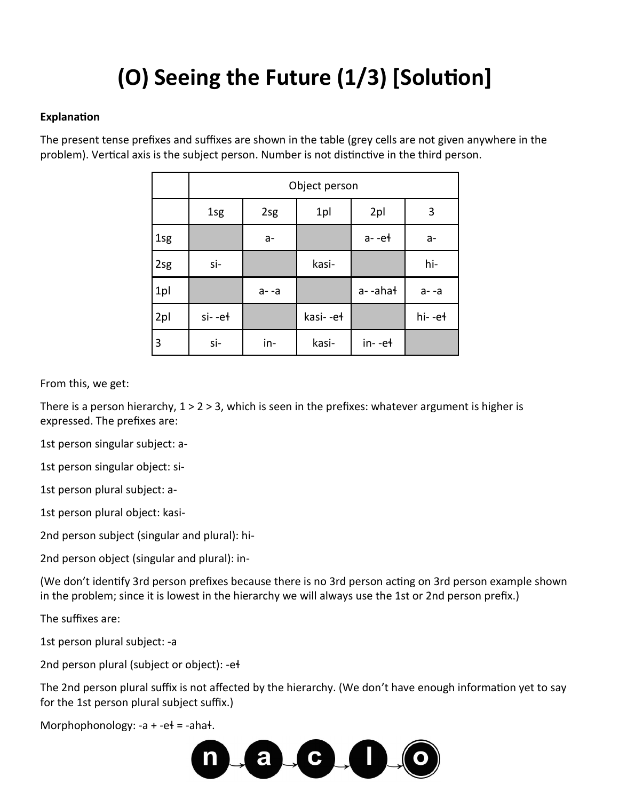# (O) Seeing the Future (1/3) [Solution]

### Explanation

The present tense prefixes and suffixes are shown in the table (grey cells are not given anywhere in the problem). Vertical axis is the subject person. Number is not distinctive in the third person.

|     | Object person |         |          |           |         |
|-----|---------------|---------|----------|-----------|---------|
|     | 1sg           | 2sg     | 1pl      | 2pl       | 3       |
| 1sg |               | a-      |          | $a - e$ + | $a-$    |
| 2sg | si-           |         | kasi-    |           | hi-     |
| 1pl |               | $a - a$ |          | a--ahał   | $a - a$ |
| 2pl | $si$ - $et$   |         | kasi--eł |           | hi--et  |
| 3   | si-           | in-     | kasi-    | $in--e+$  |         |

From this, we get:

There is a person hierarchy,  $1 > 2 > 3$ , which is seen in the prefixes: whatever argument is higher is expressed. The prefixes are:

1st person singular subject: a-

1st person singular object: si-

1st person plural subject: a-

1st person plural object: kasi-

2nd person subject (singular and plural): hi-

2nd person object (singular and plural): in-

(We don't identify 3rd person prefixes because there is no 3rd person acting on 3rd person example shown in the problem; since it is lowest in the hierarchy we will always use the 1st or 2nd person prefix.)

The suffixes are:

1st person plural subject: -a

2nd person plural (subject or object): -e+

The 2nd person plural suffix is not affected by the hierarchy. (We don't have enough information yet to say for the 1st person plural subject suffix.)

Morphophonology:  $-a + -e$  $+ = -aha$  $+$ .

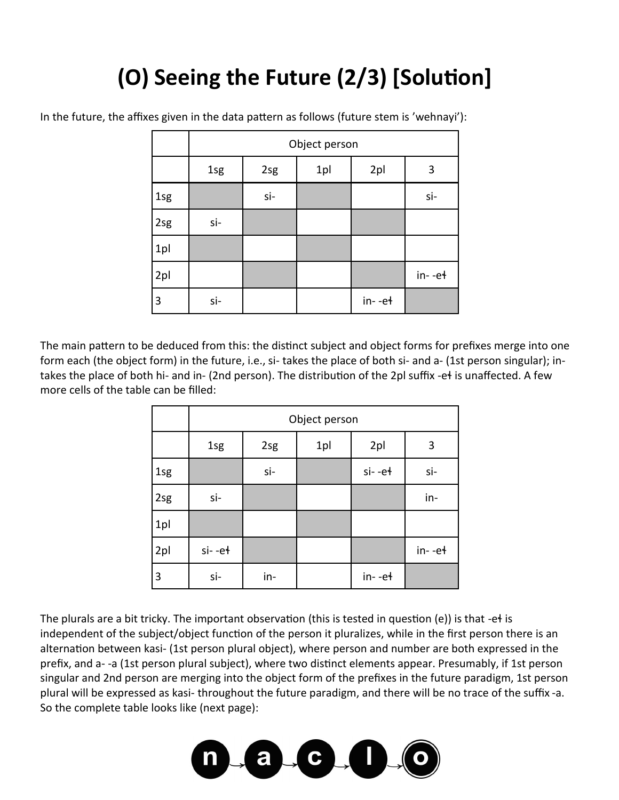## **(O) Seeing the Future (2/3) [Solution]**

|     | Object person |     |     |          |          |
|-----|---------------|-----|-----|----------|----------|
|     | 1sg           | 2sg | 1pl | 2pl      | 3        |
| 1sg |               | si- |     |          | si-      |
| 2sg | si-           |     |     |          |          |
| 1pl |               |     |     |          |          |
| 2pl |               |     |     |          | $in--e+$ |
| 3   | si-           |     |     | $in--e+$ |          |

In the future, the affixes given in the data pattern as follows (future stem is 'wehnayi'):

The main pattern to be deduced from this: the distinct subject and object forms for prefixes merge into one form each (the object form) in the future, i.e., si- takes the place of both si- and a- (1st person singular); intakes the place of both hi- and in- (2nd person). The distribution of the 2pl suffix -eɬ is unaffected. A few more cells of the table can be filled:

|     | Object person |     |     |             |          |
|-----|---------------|-----|-----|-------------|----------|
|     | 1sg           | 2sg | 1pl | 2pl         | 3        |
| 1sg |               | si- |     | $si$ - $et$ | si-      |
| 2sg | si-           |     |     |             | in-      |
| 1pl |               |     |     |             |          |
| 2pl | $si$ -eł      |     |     |             | $in--e+$ |
| 3   | si-           | in- |     | $in--e+$    |          |

The plurals are a bit tricky. The important observation (this is tested in question (e)) is that -eɬ is independent of the subject/object function of the person it pluralizes, while in the first person there is an alternation between kasi- (1st person plural object), where person and number are both expressed in the prefix, and a- -a (1st person plural subject), where two distinct elements appear. Presumably, if 1st person singular and 2nd person are merging into the object form of the prefixes in the future paradigm, 1st person plural will be expressed as kasi- throughout the future paradigm, and there will be no trace of the suffix -a. So the complete table looks like (next page):